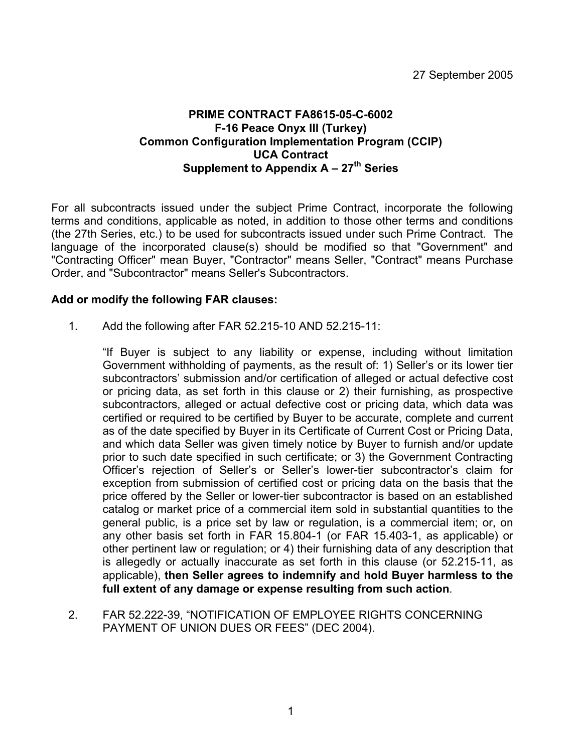### **PRIME CONTRACT FA8615-05-C-6002 F-16 Peace Onyx III (Turkey) Common Configuration Implementation Program (CCIP) UCA Contract**  Supplement to Appendix A - 27<sup>th</sup> Series

For all subcontracts issued under the subject Prime Contract, incorporate the following terms and conditions, applicable as noted, in addition to those other terms and conditions (the 27th Series, etc.) to be used for subcontracts issued under such Prime Contract. The language of the incorporated clause(s) should be modified so that "Government" and "Contracting Officer" mean Buyer, "Contractor" means Seller, "Contract" means Purchase Order, and "Subcontractor" means Seller's Subcontractors.

#### **Add or modify the following FAR clauses:**

1. Add the following after FAR 52.215-10 AND 52.215-11:

"If Buyer is subject to any liability or expense, including without limitation Government withholding of payments, as the result of: 1) Seller's or its lower tier subcontractors' submission and/or certification of alleged or actual defective cost or pricing data, as set forth in this clause or 2) their furnishing, as prospective subcontractors, alleged or actual defective cost or pricing data, which data was certified or required to be certified by Buyer to be accurate, complete and current as of the date specified by Buyer in its Certificate of Current Cost or Pricing Data, and which data Seller was given timely notice by Buyer to furnish and/or update prior to such date specified in such certificate; or 3) the Government Contracting Officer's rejection of Seller's or Seller's lower-tier subcontractor's claim for exception from submission of certified cost or pricing data on the basis that the price offered by the Seller or lower-tier subcontractor is based on an established catalog or market price of a commercial item sold in substantial quantities to the general public, is a price set by law or regulation, is a commercial item; or, on any other basis set forth in FAR 15.804-1 (or FAR 15.403-1, as applicable) or other pertinent law or regulation; or 4) their furnishing data of any description that is allegedly or actually inaccurate as set forth in this clause (or 52.215-11, as applicable), **then Seller agrees to indemnify and hold Buyer harmless to the full extent of any damage or expense resulting from such action**.

2. FAR 52.222-39, "NOTIFICATION OF EMPLOYEE RIGHTS CONCERNING PAYMENT OF UNION DUES OR FEES" (DEC 2004).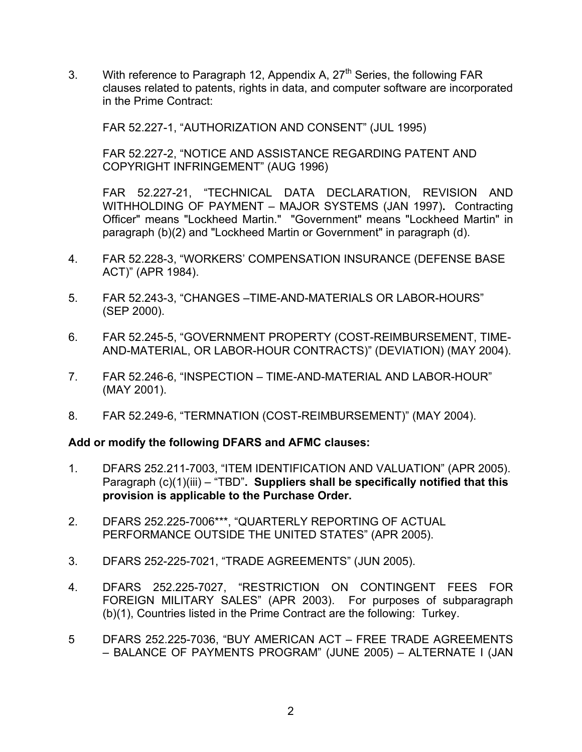3. With reference to Paragraph 12, Appendix A, 27<sup>th</sup> Series, the following FAR clauses related to patents, rights in data, and computer software are incorporated in the Prime Contract:

FAR 52.227-1, "AUTHORIZATION AND CONSENT" (JUL 1995)

FAR 52.227-2, "NOTICE AND ASSISTANCE REGARDING PATENT AND COPYRIGHT INFRINGEMENT" (AUG 1996)

FAR 52.227-21, "TECHNICAL DATA DECLARATION, REVISION AND WITHHOLDING OF PAYMENT – MAJOR SYSTEMS (JAN 1997)**.** Contracting Officer" means "Lockheed Martin." "Government" means "Lockheed Martin" in paragraph (b)(2) and "Lockheed Martin or Government" in paragraph (d).

- 4. FAR 52.228-3, "WORKERS' COMPENSATION INSURANCE (DEFENSE BASE ACT)" (APR 1984).
- 5. FAR 52.243-3, "CHANGES –TIME-AND-MATERIALS OR LABOR-HOURS" (SEP 2000).
- 6. FAR 52.245-5, "GOVERNMENT PROPERTY (COST-REIMBURSEMENT, TIME-AND-MATERIAL, OR LABOR-HOUR CONTRACTS)" (DEVIATION) (MAY 2004).
- 7. FAR 52.246-6, "INSPECTION TIME-AND-MATERIAL AND LABOR-HOUR" (MAY 2001).
- 8. FAR 52.249-6, "TERMNATION (COST-REIMBURSEMENT)" (MAY 2004).

#### **Add or modify the following DFARS and AFMC clauses:**

- 1. DFARS 252.211-7003, "ITEM IDENTIFICATION AND VALUATION" (APR 2005). Paragraph (c)(1)(iii) – "TBD"**. Suppliers shall be specifically notified that this provision is applicable to the Purchase Order.**
- 2. DFARS 252.225-7006\*\*\*, "QUARTERLY REPORTING OF ACTUAL PERFORMANCE OUTSIDE THE UNITED STATES" (APR 2005).
- 3. DFARS 252-225-7021, "TRADE AGREEMENTS" (JUN 2005).
- 4. DFARS 252.225-7027, "RESTRICTION ON CONTINGENT FEES FOR FOREIGN MILITARY SALES" (APR 2003). For purposes of subparagraph (b)(1), Countries listed in the Prime Contract are the following: Turkey.
- 5 DFARS 252.225-7036, "BUY AMERICAN ACT FREE TRADE AGREEMENTS – BALANCE OF PAYMENTS PROGRAM" (JUNE 2005) – ALTERNATE I (JAN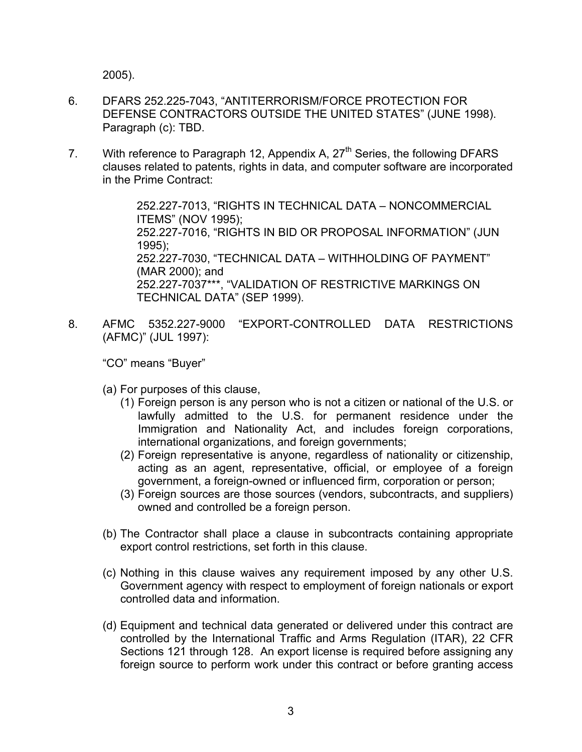2005).

- 6. DFARS 252.225-7043, "ANTITERRORISM/FORCE PROTECTION FOR DEFENSE CONTRACTORS OUTSIDE THE UNITED STATES" (JUNE 1998). Paragraph (c): TBD.
- 7. With reference to Paragraph 12, Appendix A,  $27<sup>th</sup>$  Series, the following DFARS clauses related to patents, rights in data, and computer software are incorporated in the Prime Contract:

252.227-7013, "RIGHTS IN TECHNICAL DATA – NONCOMMERCIAL ITEMS" (NOV 1995); 252.227-7016, "RIGHTS IN BID OR PROPOSAL INFORMATION" (JUN 1995); 252.227-7030, "TECHNICAL DATA – WITHHOLDING OF PAYMENT" (MAR 2000); and 252.227-7037\*\*\*, "VALIDATION OF RESTRICTIVE MARKINGS ON TECHNICAL DATA" (SEP 1999).

8. AFMC 5352.227-9000 "EXPORT-CONTROLLED DATA RESTRICTIONS (AFMC)" (JUL 1997):

"CO" means "Buyer"

- (a) For purposes of this clause,
	- (1) Foreign person is any person who is not a citizen or national of the U.S. or lawfully admitted to the U.S. for permanent residence under the Immigration and Nationality Act, and includes foreign corporations, international organizations, and foreign governments;
	- (2) Foreign representative is anyone, regardless of nationality or citizenship, acting as an agent, representative, official, or employee of a foreign government, a foreign-owned or influenced firm, corporation or person;
	- (3) Foreign sources are those sources (vendors, subcontracts, and suppliers) owned and controlled be a foreign person.
- (b) The Contractor shall place a clause in subcontracts containing appropriate export control restrictions, set forth in this clause.
- (c) Nothing in this clause waives any requirement imposed by any other U.S. Government agency with respect to employment of foreign nationals or export controlled data and information.
- (d) Equipment and technical data generated or delivered under this contract are controlled by the International Traffic and Arms Regulation (ITAR), 22 CFR Sections 121 through 128. An export license is required before assigning any foreign source to perform work under this contract or before granting access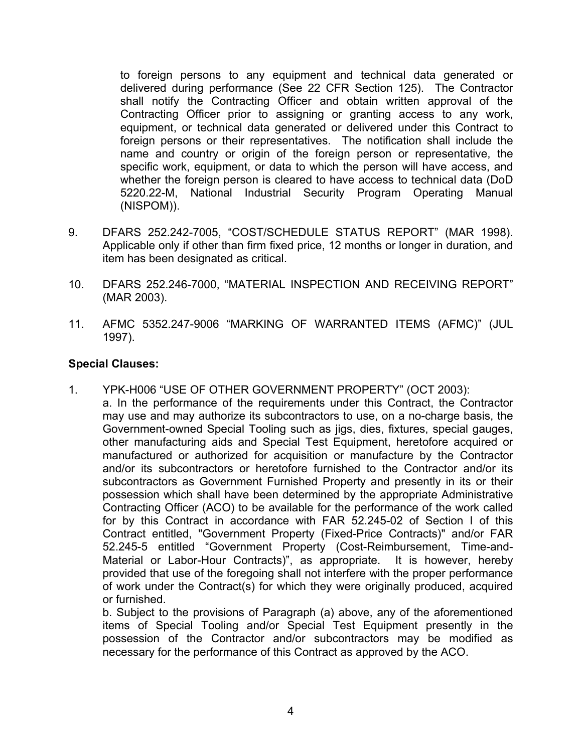to foreign persons to any equipment and technical data generated or delivered during performance (See 22 CFR Section 125). The Contractor shall notify the Contracting Officer and obtain written approval of the Contracting Officer prior to assigning or granting access to any work, equipment, or technical data generated or delivered under this Contract to foreign persons or their representatives. The notification shall include the name and country or origin of the foreign person or representative, the specific work, equipment, or data to which the person will have access, and whether the foreign person is cleared to have access to technical data (DoD 5220.22-M, National Industrial Security Program Operating Manual (NISPOM)).

- 9. DFARS 252.242-7005, "COST/SCHEDULE STATUS REPORT" (MAR 1998). Applicable only if other than firm fixed price, 12 months or longer in duration, and item has been designated as critical.
- 10. DFARS 252.246-7000, "MATERIAL INSPECTION AND RECEIVING REPORT" (MAR 2003).
- 11. AFMC 5352.247-9006 "MARKING OF WARRANTED ITEMS (AFMC)" (JUL 1997).

## **Special Clauses:**

1. YPK-H006 "USE OF OTHER GOVERNMENT PROPERTY" (OCT 2003): a. In the performance of the requirements under this Contract, the Contractor may use and may authorize its subcontractors to use, on a no-charge basis, the Government-owned Special Tooling such as jigs, dies, fixtures, special gauges, other manufacturing aids and Special Test Equipment, heretofore acquired or manufactured or authorized for acquisition or manufacture by the Contractor and/or its subcontractors or heretofore furnished to the Contractor and/or its subcontractors as Government Furnished Property and presently in its or their possession which shall have been determined by the appropriate Administrative Contracting Officer (ACO) to be available for the performance of the work called for by this Contract in accordance with FAR 52.245-02 of Section I of this Contract entitled, "Government Property (Fixed-Price Contracts)" and/or FAR 52.245-5 entitled "Government Property (Cost-Reimbursement, Time-and-Material or Labor-Hour Contracts)", as appropriate. It is however, hereby provided that use of the foregoing shall not interfere with the proper performance of work under the Contract(s) for which they were originally produced, acquired or furnished.

b. Subject to the provisions of Paragraph (a) above, any of the aforementioned items of Special Tooling and/or Special Test Equipment presently in the possession of the Contractor and/or subcontractors may be modified as necessary for the performance of this Contract as approved by the ACO.